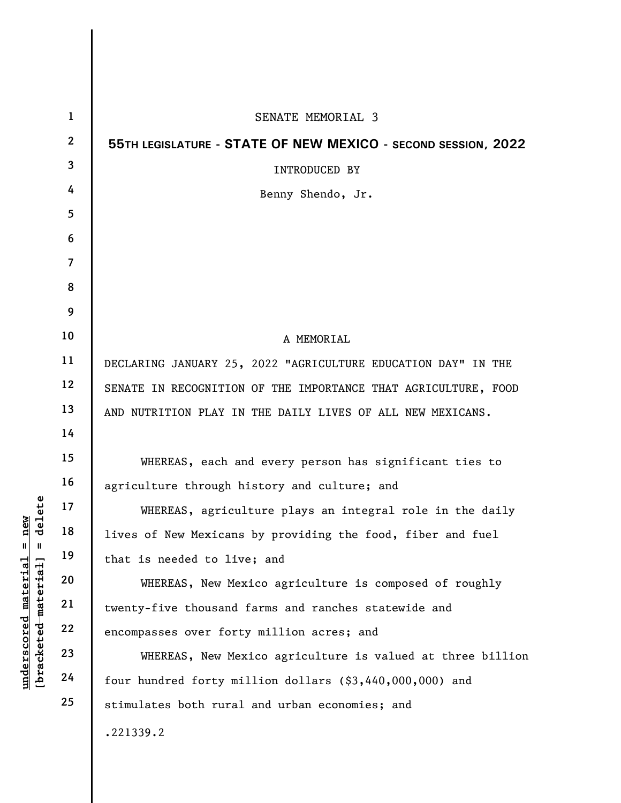|                                                                          | $\mathbf{1}$             | SENATE MEMORIAL 3                                              |
|--------------------------------------------------------------------------|--------------------------|----------------------------------------------------------------|
|                                                                          | $\boldsymbol{2}$         | 55TH LEGISLATURE - STATE OF NEW MEXICO - SECOND SESSION, 2022  |
|                                                                          | 3                        | INTRODUCED BY                                                  |
|                                                                          | 4                        | Benny Shendo, Jr.                                              |
|                                                                          | 5                        |                                                                |
|                                                                          | 6                        |                                                                |
|                                                                          | $\overline{\mathcal{L}}$ |                                                                |
|                                                                          | 8                        |                                                                |
|                                                                          | 9                        |                                                                |
|                                                                          | 10                       | A MEMORIAL                                                     |
|                                                                          | 11                       | DECLARING JANUARY 25, 2022 "AGRICULTURE EDUCATION DAY" IN THE  |
|                                                                          | 12                       | SENATE IN RECOGNITION OF THE IMPORTANCE THAT AGRICULTURE, FOOD |
|                                                                          | 13                       | AND NUTRITION PLAY IN THE DAILY LIVES OF ALL NEW MEXICANS.     |
|                                                                          | 14                       |                                                                |
|                                                                          | 15                       | WHEREAS, each and every person has significant ties to         |
|                                                                          | 16                       | agriculture through history and culture; and                   |
| delete                                                                   | 17                       | WHEREAS, agriculture plays an integral role in the daily       |
| new<br>Ш<br>Ш                                                            | 18                       | lives of New Mexicans by providing the food, fiber and fuel    |
|                                                                          | 19                       | that is needed to live; and                                    |
| $\mathtt{material}$<br>material<br>$\bm{{\rm underscore}}$<br>[bracketed | 20                       | WHEREAS, New Mexico agriculture is composed of roughly         |
|                                                                          | 21                       | twenty-five thousand farms and ranches statewide and           |
|                                                                          | 22                       | encompasses over forty million acres; and                      |
|                                                                          | 23                       | WHEREAS, New Mexico agriculture is valued at three billion     |
|                                                                          | 24                       | four hundred forty million dollars (\$3,440,000,000) and       |
|                                                                          | 25                       | stimulates both rural and urban economies; and                 |
|                                                                          |                          | .221339.2                                                      |
|                                                                          |                          |                                                                |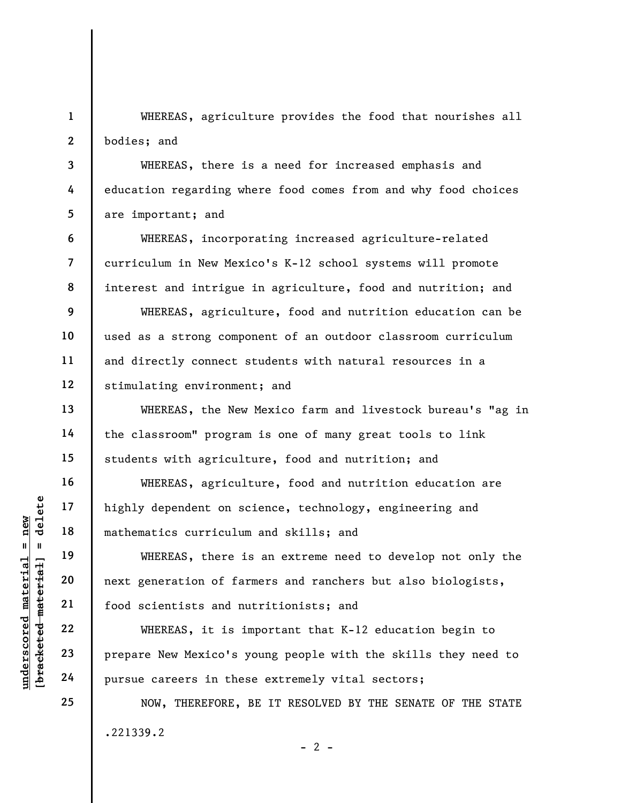1 2 WHEREAS, agriculture provides the food that nourishes all bodies; and

WHEREAS, there is a need for increased emphasis and education regarding where food comes from and why food choices are important; and

WHEREAS, incorporating increased agriculture-related curriculum in New Mexico's K-12 school systems will promote interest and intrigue in agriculture, food and nutrition; and

WHEREAS, agriculture, food and nutrition education can be used as a strong component of an outdoor classroom curriculum and directly connect students with natural resources in a stimulating environment; and

WHEREAS, the New Mexico farm and livestock bureau's "ag in the classroom" program is one of many great tools to link students with agriculture, food and nutrition; and

WHEREAS, agriculture, food and nutrition education are highly dependent on science, technology, engineering and mathematics curriculum and skills; and

understand mathematics curriculus<br>
= new temestics of a<br>
mathematics curriculus<br>
= 19<br>
= 19<br>
= 19<br>
= 19<br>
= 19<br>
= 19<br>
= 19<br>
= 19<br>
= 19<br>
= 19<br>
= 19<br>
= 19<br>
= 19<br>
= 19<br>
= 19<br>
= 19<br>
= 19<br>
= 19<br>
= 19<br>
= 19<br>
= 19<br>
= 19<br>
= 19<br>
= 1 WHEREAS, there is an extreme need to develop not only the next generation of farmers and ranchers but also biologists, food scientists and nutritionists; and

WHEREAS, it is important that K-12 education begin to prepare New Mexico's young people with the skills they need to pursue careers in these extremely vital sectors;

NOW, THEREFORE, BE IT RESOLVED BY THE SENATE OF THE STATE .221339.2  $- 2 -$ 

3

4

5

6

7

8

9

10

11

12

13

14

15

16

17

18

19

20

21

22

23

24

25